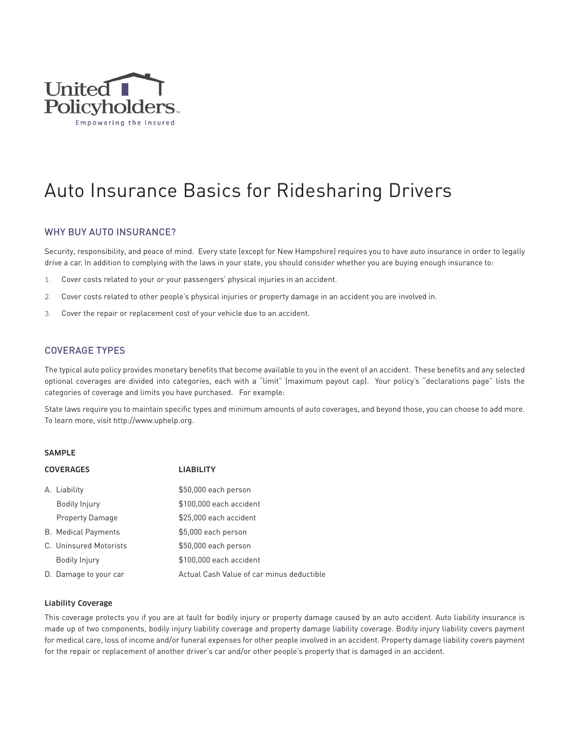

# Auto Insurance Basics for Ridesharing Drivers

# WHY BUY AUTO INSURANCE?

Security, responsibility, and peace of mind. Every state (except for New Hampshire) requires you to have auto insurance in order to legally drive a car. In addition to complying with the laws in your state, you should consider whether you are buying enough insurance to:

- 1. Cover costs related to your or your passengers' physical injuries in an accident.
- 2. Cover costs related to other people's physical injuries or property damage in an accident you are involved in.
- 3. Cover the repair or replacement cost of your vehicle due to an accident.

# COVERAGE TYPES

The typical auto policy provides monetary benefits that become available to you in the event of an accident. These benefits and any selected optional coverages are divided into categories, each with a "limit" (maximum payout cap). Your policy's "declarations page" lists the categories of coverage and limits you have purchased. For example:

State laws require you to maintain specific types and minimum amounts of auto coverages, and beyond those, you can choose to add more. To learn more, visit http://www.uphelp.org.

#### SAMPLE

| <b>COVERAGES</b> |                            | <b>LIABILITY</b>                          |
|------------------|----------------------------|-------------------------------------------|
|                  | A. Liability               | \$50,000 each person                      |
|                  | Bodily Injury              | \$100,000 each accident                   |
|                  | <b>Property Damage</b>     | \$25,000 each accident                    |
|                  | <b>B.</b> Medical Payments | \$5,000 each person                       |
|                  | C. Uninsured Motorists     | \$50,000 each person                      |
|                  | <b>Bodily Injury</b>       | \$100,000 each accident                   |
|                  | D. Damage to your car      | Actual Cash Value of car minus deductible |

#### Liability Coverage

This coverage protects you if you are at fault for bodily injury or property damage caused by an auto accident. Auto liability insurance is made up of two components, bodily injury liability coverage and property damage liability coverage. Bodily injury liability covers payment for medical care, loss of income and/or funeral expenses for other people involved in an accident. Property damage liability covers payment for the repair or replacement of another driver's car and/or other people's property that is damaged in an accident.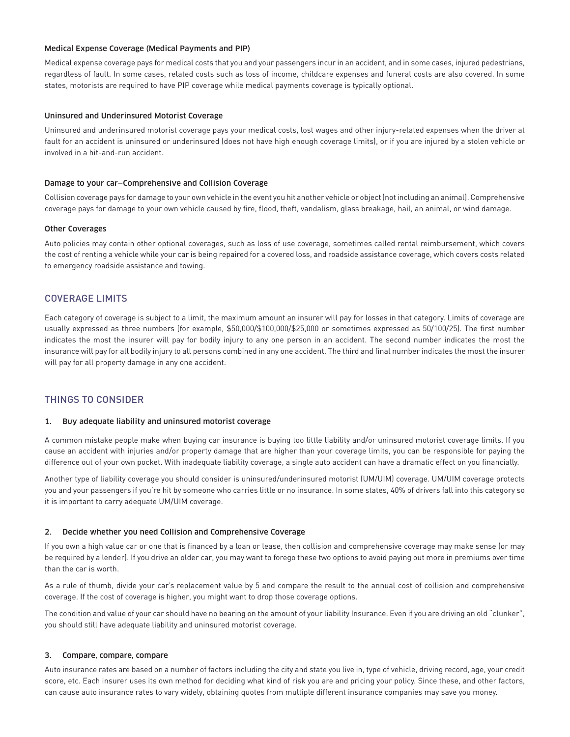## Medical Expense Coverage (Medical Payments and PIP)

Medical expense coverage pays for medical costs that you and your passengers incur in an accident, and in some cases, injured pedestrians, regardless of fault. In some cases, related costs such as loss of income, childcare expenses and funeral costs are also covered. In some states, motorists are required to have PIP coverage while medical payments coverage is typically optional.

## Uninsured and Underinsured Motorist Coverage

Uninsured and underinsured motorist coverage pays your medical costs, lost wages and other injury-related expenses when the driver at fault for an accident is uninsured or underinsured (does not have high enough coverage limits), or if you are injured by a stolen vehicle or involved in a hit-and-run accident.

## Damage to your car—Comprehensive and Collision Coverage

Collision coverage pays for damage to your own vehicle in the event you hit another vehicle or object (not including an animal). Comprehensive coverage pays for damage to your own vehicle caused by fire, flood, theft, vandalism, glass breakage, hail, an animal, or wind damage.

## Other Coverages

Auto policies may contain other optional coverages, such as loss of use coverage, sometimes called rental reimbursement, which covers the cost of renting a vehicle while your car is being repaired for a covered loss, and roadside assistance coverage, which covers costs related to emergency roadside assistance and towing.

# COVERAGE LIMITS

Each category of coverage is subject to a limit, the maximum amount an insurer will pay for losses in that category. Limits of coverage are usually expressed as three numbers (for example, \$50,000/\$100,000/\$25,000 or sometimes expressed as 50/100/25). The first number indicates the most the insurer will pay for bodily injury to any one person in an accident. The second number indicates the most the insurance will pay for all bodily injury to all persons combined in any one accident. The third and final number indicates the most the insurer will pay for all property damage in any one accident.

# THINGS TO CONSIDER

#### 1. Buy adequate liability and uninsured motorist coverage

A common mistake people make when buying car insurance is buying too little liability and/or uninsured motorist coverage limits. If you cause an accident with injuries and/or property damage that are higher than your coverage limits, you can be responsible for paying the difference out of your own pocket. With inadequate liability coverage, a single auto accident can have a dramatic effect on you financially.

Another type of liability coverage you should consider is uninsured/underinsured motorist (UM/UIM) coverage. UM/UIM coverage protects you and your passengers if you're hit by someone who carries little or no insurance. In some states, 40% of drivers fall into this category so it is important to carry adequate UM/UIM coverage.

#### 2. Decide whether you need Collision and Comprehensive Coverage

If you own a high value car or one that is financed by a loan or lease, then collision and comprehensive coverage may make sense (or may be required by a lender). If you drive an older car, you may want to forego these two options to avoid paying out more in premiums over time than the car is worth.

As a rule of thumb, divide your car's replacement value by 5 and compare the result to the annual cost of collision and comprehensive coverage. If the cost of coverage is higher, you might want to drop those coverage options.

The condition and value of your car should have no bearing on the amount of your liability Insurance. Even if you are driving an old "clunker", you should still have adequate liability and uninsured motorist coverage.

#### 3. Compare, compare, compare

Auto insurance rates are based on a number of factors including the city and state you live in, type of vehicle, driving record, age, your credit score, etc. Each insurer uses its own method for deciding what kind of risk you are and pricing your policy. Since these, and other factors, can cause auto insurance rates to vary widely, obtaining quotes from multiple different insurance companies may save you money.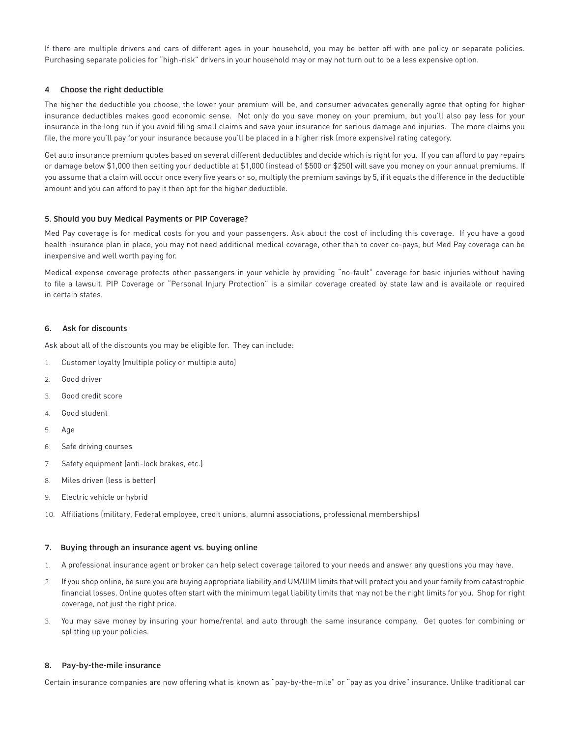If there are multiple drivers and cars of different ages in your household, you may be better off with one policy or separate policies. Purchasing separate policies for "high-risk" drivers in your household may or may not turn out to be a less expensive option.

# 4 Choose the right deductible

The higher the deductible you choose, the lower your premium will be, and consumer advocates generally agree that opting for higher insurance deductibles makes good economic sense. Not only do you save money on your premium, but you'll also pay less for your insurance in the long run if you avoid filing small claims and save your insurance for serious damage and injuries. The more claims you file, the more you'll pay for your insurance because you'll be placed in a higher risk (more expensive) rating category.

Get auto insurance premium quotes based on several different deductibles and decide which is right for you. If you can afford to pay repairs or damage below \$1,000 then setting your deductible at \$1,000 (instead of \$500 or \$250) will save you money on your annual premiums. If you assume that a claim will occur once every five years or so, multiply the premium savings by 5, if it equals the difference in the deductible amount and you can afford to pay it then opt for the higher deductible.

# 5. Should you buy Medical Payments or PIP Coverage?

Med Pay coverage is for medical costs for you and your passengers. Ask about the cost of including this coverage. If you have a good health insurance plan in place, you may not need additional medical coverage, other than to cover co-pays, but Med Pay coverage can be inexpensive and well worth paying for.

Medical expense coverage protects other passengers in your vehicle by providing "no-fault" coverage for basic injuries without having to file a lawsuit. PIP Coverage or "Personal Injury Protection" is a similar coverage created by state law and is available or required in certain states.

## 6. Ask for discounts

Ask about all of the discounts you may be eligible for. They can include:

- 1. Customer loyalty (multiple policy or multiple auto)
- 2. Good driver
- 3. Good credit score
- 4. Good student
- 5. Age
- 6. Safe driving courses
- 7. Safety equipment (anti-lock brakes, etc.)
- 8. Miles driven (less is better)
- 9. Electric vehicle or hybrid
- 10. Affiliations (military, Federal employee, credit unions, alumni associations, professional memberships)

#### 7. Buying through an insurance agent vs. buying online

- 1. A professional insurance agent or broker can help select coverage tailored to your needs and answer any questions you may have.
- 2. If you shop online, be sure you are buying appropriate liability and UM/UIM limits that will protect you and your family from catastrophic financial losses. Online quotes often start with the minimum legal liability limits that may not be the right limits for you. Shop for right coverage, not just the right price.
- 3. You may save money by insuring your home/rental and auto through the same insurance company. Get quotes for combining or splitting up your policies.

# 8. Pay-by-the-mile insurance

Certain insurance companies are now offering what is known as "pay-by-the-mile" or "pay as you drive" insurance. Unlike traditional car